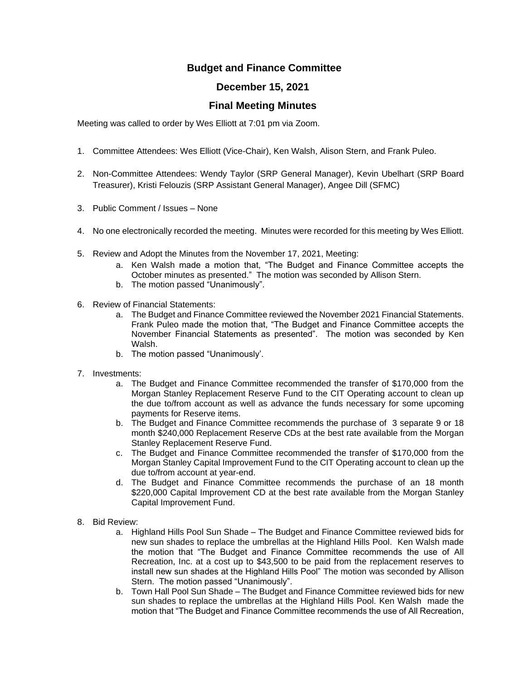## **Budget and Finance Committee**

## **December 15, 2021**

## **Final Meeting Minutes**

Meeting was called to order by Wes Elliott at 7:01 pm via Zoom.

- 1. Committee Attendees: Wes Elliott (Vice-Chair), Ken Walsh, Alison Stern, and Frank Puleo.
- 2. Non-Committee Attendees: Wendy Taylor (SRP General Manager), Kevin Ubelhart (SRP Board Treasurer), Kristi Felouzis (SRP Assistant General Manager), Angee Dill (SFMC)
- 3. Public Comment / Issues None
- 4. No one electronically recorded the meeting. Minutes were recorded for this meeting by Wes Elliott.
- 5. Review and Adopt the Minutes from the November 17, 2021, Meeting:
	- a. Ken Walsh made a motion that, "The Budget and Finance Committee accepts the October minutes as presented." The motion was seconded by Allison Stern.
	- b. The motion passed "Unanimously".
- 6. Review of Financial Statements:
	- a. The Budget and Finance Committee reviewed the November 2021 Financial Statements. Frank Puleo made the motion that, "The Budget and Finance Committee accepts the November Financial Statements as presented". The motion was seconded by Ken Walsh.
	- b. The motion passed "Unanimously'.
- 7. Investments:
	- a. The Budget and Finance Committee recommended the transfer of \$170,000 from the Morgan Stanley Replacement Reserve Fund to the CIT Operating account to clean up the due to/from account as well as advance the funds necessary for some upcoming payments for Reserve items.
	- b. The Budget and Finance Committee recommends the purchase of 3 separate 9 or 18 month \$240,000 Replacement Reserve CDs at the best rate available from the Morgan Stanley Replacement Reserve Fund.
	- c. The Budget and Finance Committee recommended the transfer of \$170,000 from the Morgan Stanley Capital Improvement Fund to the CIT Operating account to clean up the due to/from account at year-end.
	- d. The Budget and Finance Committee recommends the purchase of an 18 month \$220,000 Capital Improvement CD at the best rate available from the Morgan Stanley Capital Improvement Fund.
- 8. Bid Review:
	- a. Highland Hills Pool Sun Shade The Budget and Finance Committee reviewed bids for new sun shades to replace the umbrellas at the Highland Hills Pool. Ken Walsh made the motion that "The Budget and Finance Committee recommends the use of All Recreation, Inc. at a cost up to \$43,500 to be paid from the replacement reserves to install new sun shades at the Highland Hills Pool" The motion was seconded by Allison Stern. The motion passed "Unanimously".
	- b. Town Hall Pool Sun Shade The Budget and Finance Committee reviewed bids for new sun shades to replace the umbrellas at the Highland Hills Pool. Ken Walsh made the motion that "The Budget and Finance Committee recommends the use of All Recreation,